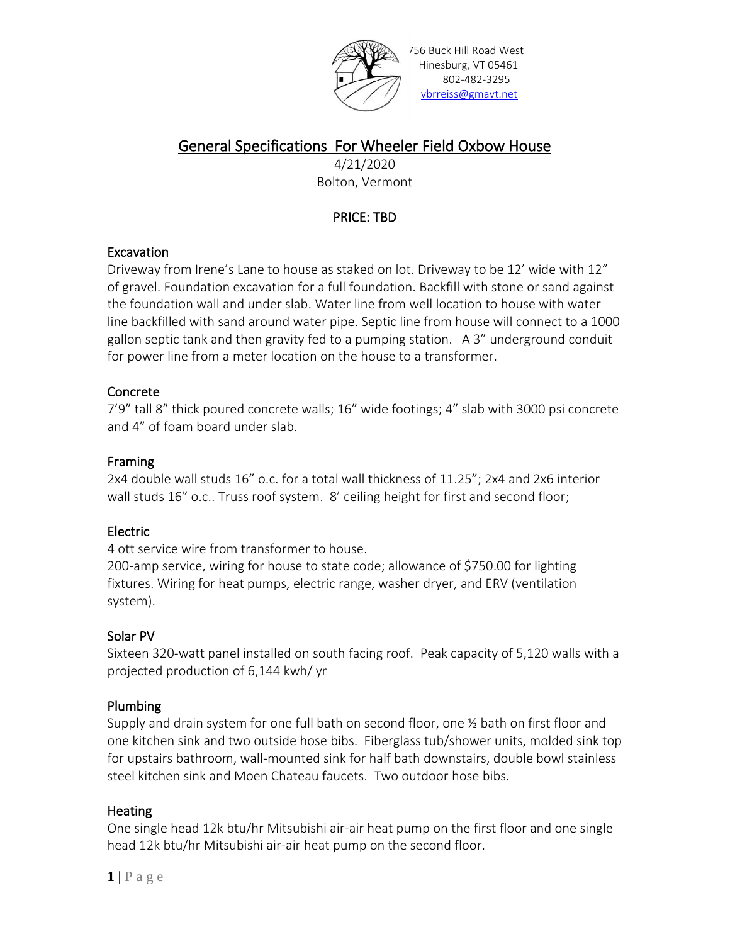

756 Buck Hill Road West Hinesburg, VT 05461 802-482-3295 [vbrreiss@gmavt.net](mailto:vbrreiss@gmavt.net)

# General Specifications For Wheeler Field Oxbow House

4/21/2020 Bolton, Vermont

# PRICE: TBD

### **Excavation**

Driveway from Irene's Lane to house as staked on lot. Driveway to be 12' wide with 12" of gravel. Foundation excavation for a full foundation. Backfill with stone or sand against the foundation wall and under slab. Water line from well location to house with water line backfilled with sand around water pipe. Septic line from house will connect to a 1000 gallon septic tank and then gravity fed to a pumping station. A 3" underground conduit for power line from a meter location on the house to a transformer.

## Concrete

7'9" tall 8" thick poured concrete walls; 16" wide footings; 4" slab with 3000 psi concrete and 4" of foam board under slab.

### Framing

2x4 double wall studs 16" o.c. for a total wall thickness of 11.25"; 2x4 and 2x6 interior wall studs 16" o.c.. Truss roof system. 8' ceiling height for first and second floor;

## Electric

4 ott service wire from transformer to house.

200-amp service, wiring for house to state code; allowance of \$750.00 for lighting fixtures. Wiring for heat pumps, electric range, washer dryer, and ERV (ventilation system).

## Solar PV

Sixteen 320-watt panel installed on south facing roof. Peak capacity of 5,120 walls with a projected production of 6,144 kwh/ yr

## Plumbing

Supply and drain system for one full bath on second floor, one  $\frac{1}{2}$  bath on first floor and one kitchen sink and two outside hose bibs. Fiberglass tub/shower units, molded sink top for upstairs bathroom, wall-mounted sink for half bath downstairs, double bowl stainless steel kitchen sink and Moen Chateau faucets. Two outdoor hose bibs.

### **Heating**

One single head 12k btu/hr Mitsubishi air-air heat pump on the first floor and one single head 12k btu/hr Mitsubishi air-air heat pump on the second floor.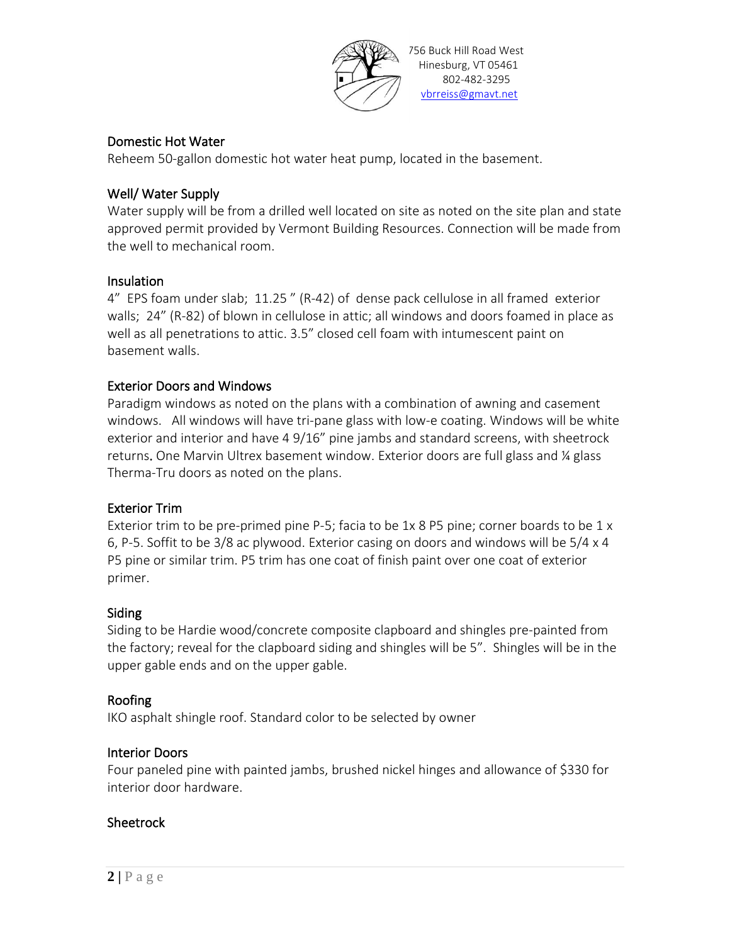

#### Domestic Hot Water

Reheem 50-gallon domestic hot water heat pump, located in the basement.

#### Well/ Water Supply

Water supply will be from a drilled well located on site as noted on the site plan and state approved permit provided by Vermont Building Resources. Connection will be made from the well to mechanical room.

#### Insulation

4" EPS foam under slab; 11.25 " (R-42) of dense pack cellulose in all framed exterior walls; 24" (R-82) of blown in cellulose in attic; all windows and doors foamed in place as well as all penetrations to attic. 3.5" closed cell foam with intumescent paint on basement walls.

#### Exterior Doors and Windows

Paradigm windows as noted on the plans with a combination of awning and casement windows. All windows will have tri-pane glass with low-e coating. Windows will be white exterior and interior and have 4 9/16" pine jambs and standard screens, with sheetrock returns. One Marvin Ultrex basement window. Exterior doors are full glass and ¼ glass Therma-Tru doors as noted on the plans.

#### Exterior Trim

Exterior trim to be pre-primed pine P-5; facia to be 1x 8 P5 pine; corner boards to be 1 x 6, P-5. Soffit to be 3/8 ac plywood. Exterior casing on doors and windows will be 5/4 x 4 P5 pine or similar trim. P5 trim has one coat of finish paint over one coat of exterior primer.

#### Siding

Siding to be Hardie wood/concrete composite clapboard and shingles pre-painted from the factory; reveal for the clapboard siding and shingles will be 5". Shingles will be in the upper gable ends and on the upper gable.

#### Roofing

IKO asphalt shingle roof. Standard color to be selected by owner

#### Interior Doors

Four paneled pine with painted jambs, brushed nickel hinges and allowance of \$330 for interior door hardware.

#### **Sheetrock**